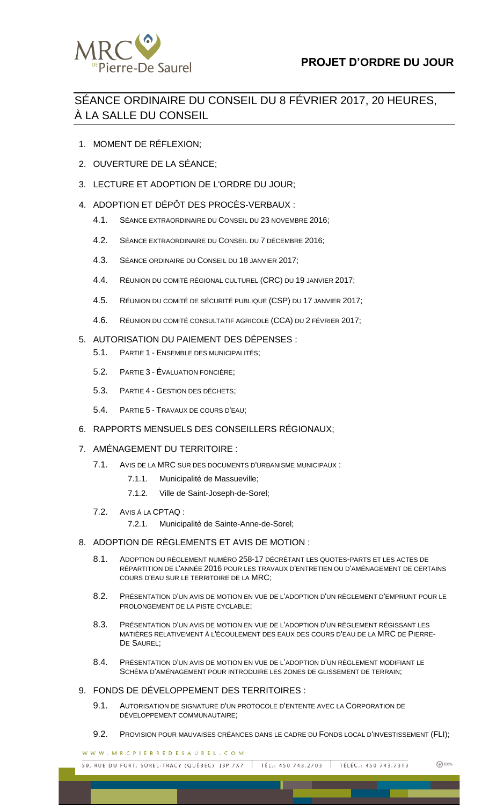

# SÉANCE ORDINAIRE DU CONSEIL DU 8 FÉVRIER 2017, 20 HEURES, À LA SALLE DU CONSEIL

- 1. MOMENT DE RÉFLEXION;
- 2. OUVERTURE DE LA SÉANCE;
- 3. LECTURE ET ADOPTION DE L'ORDRE DU JOUR;
- 4. ADOPTION ET DÉPÔT DES PROCÈS-VERBAUX :
	- 4.1. SÉANCE EXTRAORDINAIRE DU CONSEIL DU 23 NOVEMBRE 2016;
	- 4.2. SÉANCE EXTRAORDINAIRE DU CONSEIL DU 7 DÉCEMBRE 2016;
	- 4.3. SÉANCE ORDINAIRE DU CONSEIL DU 18 JANVIER 2017;
	- 4.4. RÉUNION DU COMITÉ RÉGIONAL CULTUREL (CRC) DU 19 JANVIER 2017;
	- 4.5. RÉUNION DU COMITÉ DE SÉCURITÉ PUBLIQUE (CSP) DU 17 JANVIER 2017;
	- 4.6. RÉUNION DU COMITÉ CONSULTATIF AGRICOLE (CCA) DU 2 FÉVRIER 2017;

# 5. AUTORISATION DU PAIEMENT DES DÉPENSES :

- 5.1. PARTIE 1 ENSEMBLE DES MUNICIPALITÉS;
- 5.2. PARTIE 3 ÉVALUATION FONCIÈRE;
- 5.3. PARTIE 4 GESTION DES DÉCHETS;
- 5.4. PARTIE 5 TRAVAUX DE COURS D'EAU;
- 6. RAPPORTS MENSUELS DES CONSEILLERS RÉGIONAUX;

# 7. AMÉNAGEMENT DU TERRITOIRE :

- 7.1. AVIS DE LA MRC SUR DES DOCUMENTS D'URBANISME MUNICIPAUX :
	- 7.1.1. Municipalité de Massueville;
	- 7.1.2. Ville de Saint-Joseph-de-Sorel;
- 7.2. AVIS À LA CPTAQ :
	- 7.2.1. Municipalité de Sainte-Anne-de-Sorel;

# 8. ADOPTION DE RÈGLEMENTS ET AVIS DE MOTION :

- 8.1. ADOPTION DU RÈGLEMENT NUMÉRO 258-17 DÉCRÉTANT LES QUOTES-PARTS ET LES ACTES DE RÉPARTITION DE L'ANNÉE 2016 POUR LES TRAVAUX D'ENTRETIEN OU D'AMÉNAGEMENT DE CERTAINS COURS D'EAU SUR LE TERRITOIRE DE LA MRC;
- 8.2. PRÉSENTATION D'UN AVIS DE MOTION EN VUE DE L'ADOPTION D'UN RÈGLEMENT D'EMPRUNT POUR LE PROLONGEMENT DE LA PISTE CYCLABLE;
- 8.3. PRÉSENTATION D'UN AVIS DE MOTION EN VUE DE L'ADOPTION D'UN RÈGLEMENT RÉGISSANT LES MATIÈRES RELATIVEMENT À L'ÉCOULEMENT DES EAUX DES COURS D'EAU DE LA MRC DE PIERRE-DE SAUREL;
- 8.4. PRÉSENTATION D'UN AVIS DE MOTION EN VUE DE L'ADOPTION D'UN RÈGLEMENT MODIFIANT LE SCHÉMA D'AMÉNAGEMENT POUR INTRODUIRE LES ZONES DE GLISSEMENT DE TERRAIN;

# 9. FONDS DE DÉVELOPPEMENT DES TERRITOIRES :

- 9.1. AUTORISATION DE SIGNATURE D'UN PROTOCOLE D'ENTENTE AVEC LA CORPORATION DE DÉVELOPPEMENT COMMUNAUTAIRE;
- 9.2. PROVISION POUR MAUVAISES CRÉANCES DANS LE CADRE DU FONDS LOCAL D'INVESTISSEMENT (FLI);

WWW.MRCPIERREDESAUREL.COM